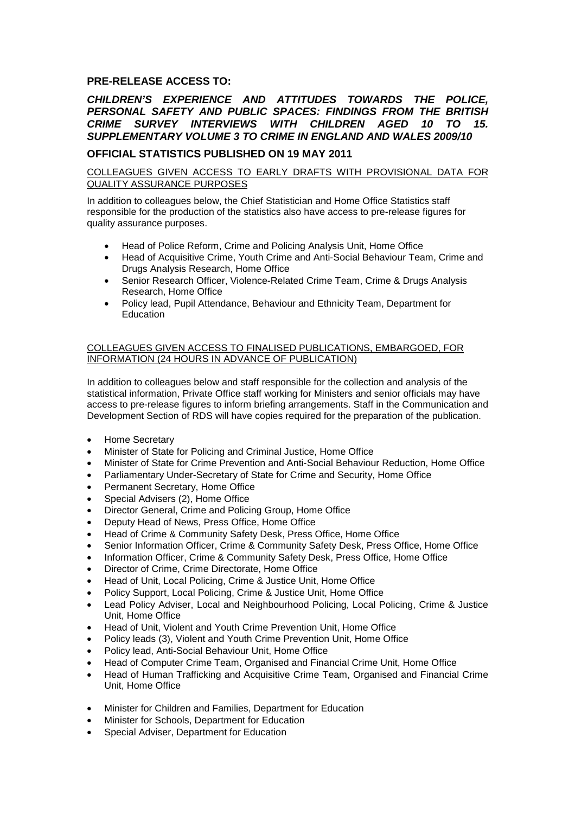## **PRE-RELEASE ACCESS TO:**

## *CHILDREN'S EXPERIENCE AND ATTITUDES TOWARDS THE POLICE, PERSONAL SAFETY AND PUBLIC SPACES: FINDINGS FROM THE BRITISH CRIME SURVEY INTERVIEWS WITH CHILDREN AGED 10 TO 15. SUPPLEMENTARY VOLUME 3 TO CRIME IN ENGLAND AND WALES 2009/10*

## **OFFICIAL STATISTICS PUBLISHED ON 19 MAY 2011**

COLLEAGUES GIVEN ACCESS TO EARLY DRAFTS WITH PROVISIONAL DATA FOR QUALITY ASSURANCE PURPOSES

In addition to colleagues below, the Chief Statistician and Home Office Statistics staff responsible for the production of the statistics also have access to pre-release figures for quality assurance purposes.

- Head of Police Reform, Crime and Policing Analysis Unit, Home Office
- Head of Acquisitive Crime, Youth Crime and Anti-Social Behaviour Team, Crime and Drugs Analysis Research, Home Office
- Senior Research Officer, Violence-Related Crime Team, Crime & Drugs Analysis Research, Home Office
- Policy lead, Pupil Attendance, Behaviour and Ethnicity Team, Department for **Education**

## COLLEAGUES GIVEN ACCESS TO FINALISED PUBLICATIONS, EMBARGOED, FOR INFORMATION (24 HOURS IN ADVANCE OF PUBLICATION)

In addition to colleagues below and staff responsible for the collection and analysis of the statistical information, Private Office staff working for Ministers and senior officials may have access to pre-release figures to inform briefing arrangements. Staff in the Communication and Development Section of RDS will have copies required for the preparation of the publication.

- Home Secretary
- Minister of State for Policing and Criminal Justice, Home Office
- Minister of State for Crime Prevention and Anti-Social Behaviour Reduction, Home Office
- Parliamentary Under-Secretary of State for Crime and Security, Home Office
- Permanent Secretary, Home Office
- Special Advisers (2), Home Office
- Director General, Crime and Policing Group, Home Office
- Deputy Head of News, Press Office, Home Office
- Head of Crime & Community Safety Desk, Press Office, Home Office
- Senior Information Officer, Crime & Community Safety Desk, Press Office, Home Office
- Information Officer, Crime & Community Safety Desk, Press Office, Home Office
- Director of Crime, Crime Directorate, Home Office
- Head of Unit, Local Policing, Crime & Justice Unit, Home Office
- Policy Support, Local Policing, Crime & Justice Unit, Home Office
- Lead Policy Adviser, Local and Neighbourhood Policing, Local Policing, Crime & Justice Unit, Home Office
- Head of Unit, Violent and Youth Crime Prevention Unit, Home Office
- Policy leads (3), Violent and Youth Crime Prevention Unit, Home Office
- Policy lead, Anti-Social Behaviour Unit, Home Office
- Head of Computer Crime Team, Organised and Financial Crime Unit, Home Office
- Head of Human Trafficking and Acquisitive Crime Team, Organised and Financial Crime Unit, Home Office
- Minister for Children and Families, Department for Education
- Minister for Schools, Department for Education
- Special Adviser, Department for Education